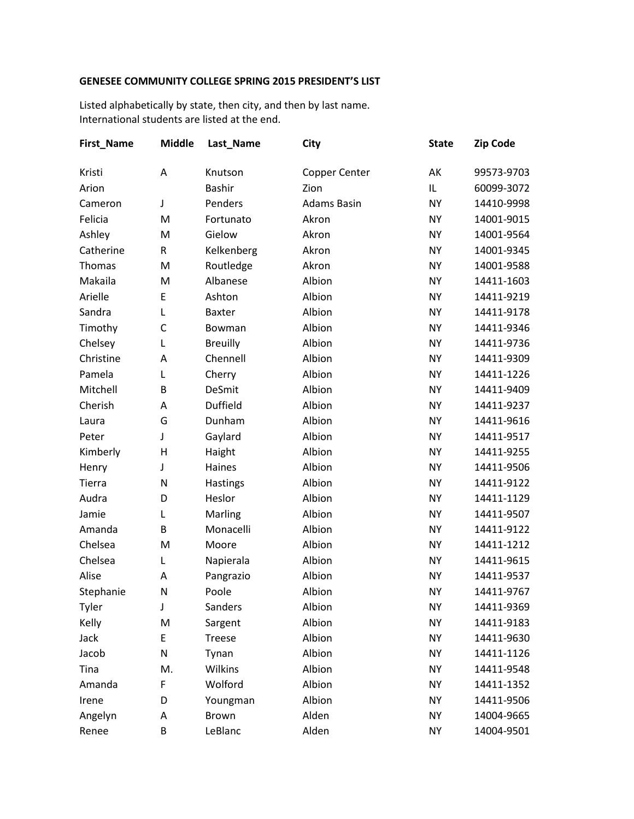## **GENESEE COMMUNITY COLLEGE SPRING 2015 PRESIDENT'S LIST**

Listed alphabetically by state, then city, and then by last name. International students are listed at the end.

| <b>First_Name</b> | <b>Middle</b> | Last_Name       | <b>City</b>        | <b>State</b> | <b>Zip Code</b> |
|-------------------|---------------|-----------------|--------------------|--------------|-----------------|
| Kristi            | A             | Knutson         | Copper Center      | AK           | 99573-9703      |
| Arion             |               | <b>Bashir</b>   | Zion               | IL           | 60099-3072      |
| Cameron           | J             | Penders         | <b>Adams Basin</b> | <b>NY</b>    | 14410-9998      |
| Felicia           | M             | Fortunato       | Akron              | <b>NY</b>    | 14001-9015      |
| Ashley            | M             | Gielow          | Akron              | <b>NY</b>    | 14001-9564      |
| Catherine         | ${\sf R}$     | Kelkenberg      | Akron              | <b>NY</b>    | 14001-9345      |
| Thomas            | M             | Routledge       | Akron              | <b>NY</b>    | 14001-9588      |
| Makaila           | M             | Albanese        | Albion             | <b>NY</b>    | 14411-1603      |
| Arielle           | E             | Ashton          | Albion             | <b>NY</b>    | 14411-9219      |
| Sandra            | L             | <b>Baxter</b>   | Albion             | <b>NY</b>    | 14411-9178      |
| Timothy           | C             | Bowman          | Albion             | <b>NY</b>    | 14411-9346      |
| Chelsey           | L             | <b>Breuilly</b> | Albion             | <b>NY</b>    | 14411-9736      |
| Christine         | Α             | Chennell        | Albion             | <b>NY</b>    | 14411-9309      |
| Pamela            | L             | Cherry          | Albion             | <b>NY</b>    | 14411-1226      |
| Mitchell          | B             | DeSmit          | Albion             | <b>NY</b>    | 14411-9409      |
| Cherish           | Α             | Duffield        | Albion             | <b>NY</b>    | 14411-9237      |
| Laura             | G             | Dunham          | Albion             | <b>NY</b>    | 14411-9616      |
| Peter             | J             | Gaylard         | Albion             | <b>NY</b>    | 14411-9517      |
| Kimberly          | $\mathsf{H}$  | Haight          | Albion             | <b>NY</b>    | 14411-9255      |
| Henry             | J             | Haines          | Albion             | <b>NY</b>    | 14411-9506      |
| Tierra            | N             | Hastings        | Albion             | <b>NY</b>    | 14411-9122      |
| Audra             | D             | Heslor          | Albion             | <b>NY</b>    | 14411-1129      |
| Jamie             | L             | Marling         | Albion             | <b>NY</b>    | 14411-9507      |
| Amanda            | B             | Monacelli       | Albion             | <b>NY</b>    | 14411-9122      |
| Chelsea           | M             | Moore           | Albion             | <b>NY</b>    | 14411-1212      |
| Chelsea           | L             | Napierala       | Albion             | <b>NY</b>    | 14411-9615      |
| Alise             | Α             | Pangrazio       | Albion             | <b>NY</b>    | 14411-9537      |
| Stephanie         | N             | Poole           | Albion             | <b>NY</b>    | 14411-9767      |
| Tyler             | J             | Sanders         | Albion             | <b>NY</b>    | 14411-9369      |
| Kelly             | M             | Sargent         | Albion             | <b>NY</b>    | 14411-9183      |
| Jack              | E             | <b>Treese</b>   | Albion             | <b>NY</b>    | 14411-9630      |
| Jacob             | N             | Tynan           | Albion             | <b>NY</b>    | 14411-1126      |
| Tina              | M.            | Wilkins         | Albion             | <b>NY</b>    | 14411-9548      |
| Amanda            | F             | Wolford         | Albion             | NY           | 14411-1352      |
| Irene             | D             | Youngman        | Albion             | <b>NY</b>    | 14411-9506      |
| Angelyn           | Α             | Brown           | Alden              | ΝY           | 14004-9665      |
| Renee             | B             | LeBlanc         | Alden              | <b>NY</b>    | 14004-9501      |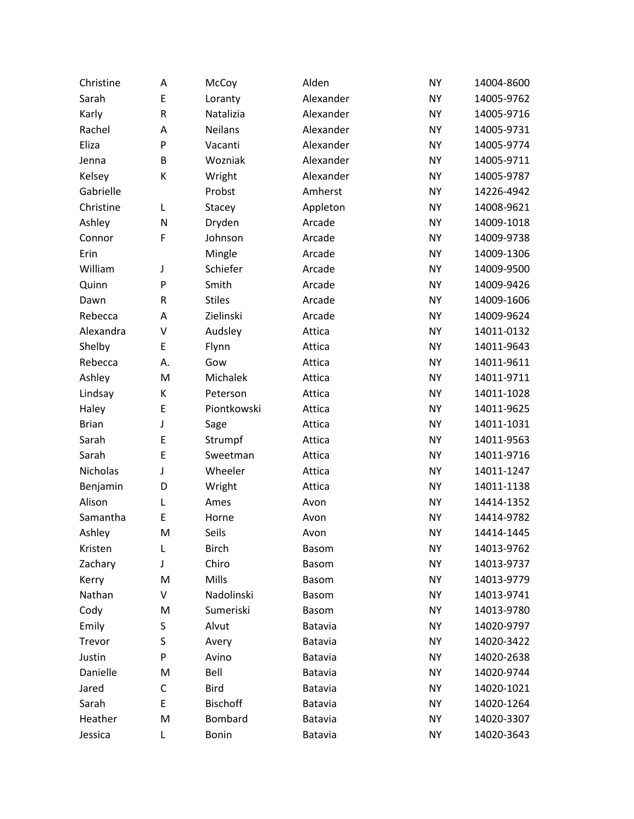| Christine    | Α       | McCoy           | Alden          | <b>NY</b> | 14004-8600 |
|--------------|---------|-----------------|----------------|-----------|------------|
| Sarah        | E       | Loranty         | Alexander      | <b>NY</b> | 14005-9762 |
| Karly        | $\sf R$ | Natalizia       | Alexander      | <b>NY</b> | 14005-9716 |
| Rachel       | A       | <b>Neilans</b>  | Alexander      | <b>NY</b> | 14005-9731 |
| Eliza        | P       | Vacanti         | Alexander      | <b>NY</b> | 14005-9774 |
| Jenna        | B       | Wozniak         | Alexander      | <b>NY</b> | 14005-9711 |
| Kelsey       | К       | Wright          | Alexander      | <b>NY</b> | 14005-9787 |
| Gabrielle    |         | Probst          | Amherst        | <b>NY</b> | 14226-4942 |
| Christine    | L       | <b>Stacey</b>   | Appleton       | <b>NY</b> | 14008-9621 |
| Ashley       | N       | Dryden          | Arcade         | <b>NY</b> | 14009-1018 |
| Connor       | F       | Johnson         | Arcade         | <b>NY</b> | 14009-9738 |
| Erin         |         | Mingle          | Arcade         | <b>NY</b> | 14009-1306 |
| William      | J       | Schiefer        | Arcade         | <b>NY</b> | 14009-9500 |
| Quinn        | P       | Smith           | Arcade         | <b>NY</b> | 14009-9426 |
| Dawn         | R       | <b>Stiles</b>   | Arcade         | <b>NY</b> | 14009-1606 |
| Rebecca      | A       | Zielinski       | Arcade         | <b>NY</b> | 14009-9624 |
| Alexandra    | V       | Audsley         | Attica         | <b>NY</b> | 14011-0132 |
| Shelby       | E       | Flynn           | Attica         | <b>NY</b> | 14011-9643 |
| Rebecca      | А.      | Gow             | Attica         | <b>NY</b> | 14011-9611 |
| Ashley       | M       | Michalek        | Attica         | <b>NY</b> | 14011-9711 |
| Lindsay      | К       | Peterson        | Attica         | <b>NY</b> | 14011-1028 |
| Haley        | E       | Piontkowski     | Attica         | <b>NY</b> | 14011-9625 |
| <b>Brian</b> | J       | Sage            | Attica         | <b>NY</b> | 14011-1031 |
| Sarah        | E       | Strumpf         | Attica         | <b>NY</b> | 14011-9563 |
| Sarah        | E       | Sweetman        | Attica         | <b>NY</b> | 14011-9716 |
| Nicholas     | J       | Wheeler         | Attica         | <b>NY</b> | 14011-1247 |
| Benjamin     | D       | Wright          | Attica         | <b>NY</b> | 14011-1138 |
| Alison       | L       | Ames            | Avon           | <b>NY</b> | 14414-1352 |
| Samantha     | E       | Horne           | Avon           | <b>NY</b> | 14414-9782 |
| Ashley       | M       | Seils           | Avon           | <b>NY</b> | 14414-1445 |
| Kristen      | L       | <b>Birch</b>    | <b>Basom</b>   | NY        | 14013-9762 |
| Zachary      | J       | Chiro           | <b>Basom</b>   | <b>NY</b> | 14013-9737 |
| Kerry        | M       | Mills           | <b>Basom</b>   | NY        | 14013-9779 |
| Nathan       | V       | Nadolinski      | <b>Basom</b>   | <b>NY</b> | 14013-9741 |
| Cody         | M       | Sumeriski       | <b>Basom</b>   | NY        | 14013-9780 |
| Emily        | S       | Alvut           | Batavia        | <b>NY</b> | 14020-9797 |
| Trevor       | S       | Avery           | <b>Batavia</b> | NY        | 14020-3422 |
| Justin       | P       | Avino           | Batavia        | <b>NY</b> | 14020-2638 |
| Danielle     | M       | Bell            | Batavia        | NY        | 14020-9744 |
| Jared        | C       | <b>Bird</b>     | Batavia        | <b>NY</b> | 14020-1021 |
| Sarah        | E       | <b>Bischoff</b> | Batavia        | NY        | 14020-1264 |
| Heather      | M       | Bombard         | Batavia        | <b>NY</b> | 14020-3307 |
| Jessica      | L       | Bonin           | Batavia        | NY        | 14020-3643 |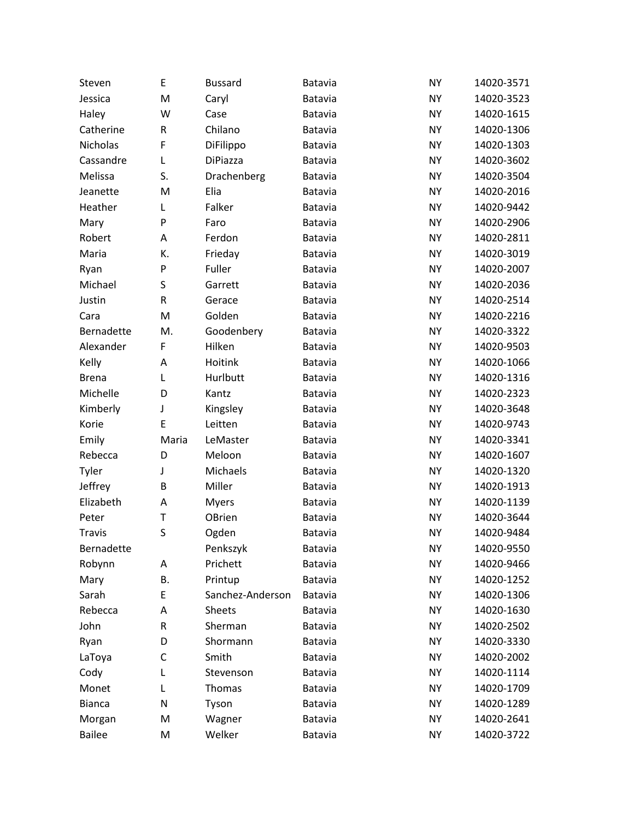| Steven          | E         | <b>Bussard</b>   | Batavia        | <b>NY</b> | 14020-3571 |
|-----------------|-----------|------------------|----------------|-----------|------------|
| Jessica         | M         | Caryl            | Batavia        | <b>NY</b> | 14020-3523 |
| Haley           | W         | Case             | <b>Batavia</b> | <b>NY</b> | 14020-1615 |
| Catherine       | ${\sf R}$ | Chilano          | Batavia        | <b>NY</b> | 14020-1306 |
| <b>Nicholas</b> | F         | DiFilippo        | <b>Batavia</b> | <b>NY</b> | 14020-1303 |
| Cassandre       | L         | DiPiazza         | Batavia        | <b>NY</b> | 14020-3602 |
| Melissa         | S.        | Drachenberg      | Batavia        | <b>NY</b> | 14020-3504 |
| Jeanette        | M         | Elia             | Batavia        | <b>NY</b> | 14020-2016 |
| Heather         | L         | Falker           | <b>Batavia</b> | <b>NY</b> | 14020-9442 |
| Mary            | P         | Faro             | Batavia        | <b>NY</b> | 14020-2906 |
| Robert          | Α         | Ferdon           | <b>Batavia</b> | <b>NY</b> | 14020-2811 |
| Maria           | К.        | Frieday          | Batavia        | <b>NY</b> | 14020-3019 |
| Ryan            | P         | Fuller           | <b>Batavia</b> | <b>NY</b> | 14020-2007 |
| Michael         | S         | Garrett          | Batavia        | <b>NY</b> | 14020-2036 |
| Justin          | ${\sf R}$ | Gerace           | <b>Batavia</b> | <b>NY</b> | 14020-2514 |
| Cara            | M         | Golden           | Batavia        | <b>NY</b> | 14020-2216 |
| Bernadette      | M.        | Goodenbery       | <b>Batavia</b> | <b>NY</b> | 14020-3322 |
| Alexander       | F         | Hilken           | Batavia        | <b>NY</b> | 14020-9503 |
| Kelly           | Α         | Hoitink          | <b>Batavia</b> | <b>NY</b> | 14020-1066 |
| <b>Brena</b>    | L         | Hurlbutt         | Batavia        | <b>NY</b> | 14020-1316 |
| Michelle        | D         | Kantz            | <b>Batavia</b> | <b>NY</b> | 14020-2323 |
| Kimberly        | J         | Kingsley         | Batavia        | <b>NY</b> | 14020-3648 |
| Korie           | E         | Leitten          | <b>Batavia</b> | <b>NY</b> | 14020-9743 |
| Emily           | Maria     | LeMaster         | Batavia        | <b>NY</b> | 14020-3341 |
| Rebecca         | D         | Meloon           | <b>Batavia</b> | <b>NY</b> | 14020-1607 |
| Tyler           | J         | Michaels         | Batavia        | <b>NY</b> | 14020-1320 |
| Jeffrey         | B         | Miller           | <b>Batavia</b> | <b>NY</b> | 14020-1913 |
| Elizabeth       | A         | <b>Myers</b>     | Batavia        | <b>NY</b> | 14020-1139 |
| Peter           | T         | OBrien           | Batavia        | <b>NY</b> | 14020-3644 |
| <b>Travis</b>   | S         | Ogden            | <b>Batavia</b> | <b>NY</b> | 14020-9484 |
| Bernadette      |           | Penkszyk         | Batavia        | <b>NY</b> | 14020-9550 |
| Robynn          | Α         | Prichett         | Batavia        | <b>NY</b> | 14020-9466 |
| Mary            | В.        | Printup          | <b>Batavia</b> | <b>NY</b> | 14020-1252 |
| Sarah           | E         | Sanchez-Anderson | Batavia        | <b>NY</b> | 14020-1306 |
| Rebecca         | Α         | <b>Sheets</b>    | Batavia        | <b>NY</b> | 14020-1630 |
| John            | ${\sf R}$ | Sherman          | Batavia        | <b>NY</b> | 14020-2502 |
| Ryan            | D         | Shormann         | Batavia        | <b>NY</b> | 14020-3330 |
| LaToya          | C         | Smith            | Batavia        | <b>NY</b> | 14020-2002 |
| Cody            | L         | Stevenson        | Batavia        | <b>NY</b> | 14020-1114 |
| Monet           | L         | <b>Thomas</b>    | Batavia        | <b>NY</b> | 14020-1709 |
| <b>Bianca</b>   | N         | Tyson            | Batavia        | <b>NY</b> | 14020-1289 |
| Morgan          | M         | Wagner           | Batavia        | <b>NY</b> | 14020-2641 |
| <b>Bailee</b>   | M         | Welker           | Batavia        | <b>NY</b> | 14020-3722 |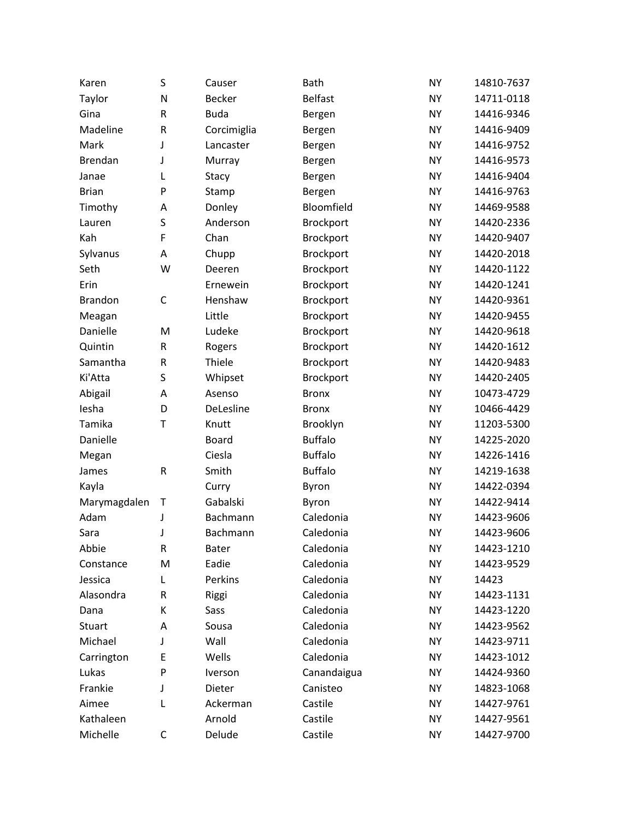| Karen          | S         | Causer        | <b>Bath</b>      | <b>NY</b> | 14810-7637 |
|----------------|-----------|---------------|------------------|-----------|------------|
| Taylor         | N         | <b>Becker</b> | <b>Belfast</b>   | <b>NY</b> | 14711-0118 |
| Gina           | ${\sf R}$ | <b>Buda</b>   | Bergen           | <b>NY</b> | 14416-9346 |
| Madeline       | ${\sf R}$ | Corcimiglia   | Bergen           | <b>NY</b> | 14416-9409 |
| Mark           | J         | Lancaster     | Bergen           | <b>NY</b> | 14416-9752 |
| <b>Brendan</b> | J         | Murray        | Bergen           | <b>NY</b> | 14416-9573 |
| Janae          | L         | Stacy         | Bergen           | <b>NY</b> | 14416-9404 |
| <b>Brian</b>   | P         | Stamp         | Bergen           | <b>NY</b> | 14416-9763 |
| Timothy        | Α         | Donley        | Bloomfield       | <b>NY</b> | 14469-9588 |
| Lauren         | S         | Anderson      | Brockport        | <b>NY</b> | 14420-2336 |
| Kah            | F         | Chan          | <b>Brockport</b> | <b>NY</b> | 14420-9407 |
| Sylvanus       | A         | Chupp         | Brockport        | <b>NY</b> | 14420-2018 |
| Seth           | W         | Deeren        | <b>Brockport</b> | <b>NY</b> | 14420-1122 |
| Erin           |           | Ernewein      | Brockport        | <b>NY</b> | 14420-1241 |
| <b>Brandon</b> | C         | Henshaw       | Brockport        | <b>NY</b> | 14420-9361 |
| Meagan         |           | Little        | Brockport        | <b>NY</b> | 14420-9455 |
| Danielle       | M         | Ludeke        | <b>Brockport</b> | <b>NY</b> | 14420-9618 |
| Quintin        | ${\sf R}$ | Rogers        | Brockport        | <b>NY</b> | 14420-1612 |
| Samantha       | ${\sf R}$ | Thiele        | Brockport        | <b>NY</b> | 14420-9483 |
| Ki'Atta        | S         | Whipset       | Brockport        | <b>NY</b> | 14420-2405 |
| Abigail        | A         | Asenso        | <b>Bronx</b>     | <b>NY</b> | 10473-4729 |
| lesha          | D         | DeLesline     | <b>Bronx</b>     | <b>NY</b> | 10466-4429 |
| Tamika         | T         | Knutt         | Brooklyn         | <b>NY</b> | 11203-5300 |
| Danielle       |           | <b>Board</b>  | <b>Buffalo</b>   | <b>NY</b> | 14225-2020 |
| Megan          |           | Ciesla        | <b>Buffalo</b>   | <b>NY</b> | 14226-1416 |
| James          | ${\sf R}$ | Smith         | <b>Buffalo</b>   | <b>NY</b> | 14219-1638 |
| Kayla          |           | Curry         | Byron            | <b>NY</b> | 14422-0394 |
| Marymagdalen   | Τ         | Gabalski      | Byron            | <b>NY</b> | 14422-9414 |
| Adam           | J         | Bachmann      | Caledonia        | <b>NY</b> | 14423-9606 |
| Sara           | J         | Bachmann      | Caledonia        | <b>NY</b> | 14423-9606 |
| Abbie          | R         | <b>Bater</b>  | Caledonia        | <b>NY</b> | 14423-1210 |
| Constance      | M         | Eadie         | Caledonia        | <b>NY</b> | 14423-9529 |
| Jessica        | L         | Perkins       | Caledonia        | NΥ        | 14423      |
| Alasondra      | R         | Riggi         | Caledonia        | <b>NY</b> | 14423-1131 |
| Dana           | К         | Sass          | Caledonia        | ΝY        | 14423-1220 |
| Stuart         | Α         | Sousa         | Caledonia        | <b>NY</b> | 14423-9562 |
| Michael        | J         | Wall          | Caledonia        | ΝY        | 14423-9711 |
| Carrington     | E         | Wells         | Caledonia        | <b>NY</b> | 14423-1012 |
| Lukas          | P         | Iverson       | Canandaigua      | ΝY        | 14424-9360 |
| Frankie        | J         | Dieter        | Canisteo         | <b>NY</b> | 14823-1068 |
| Aimee          | L         | Ackerman      | Castile          | ΝY        | 14427-9761 |
| Kathaleen      |           | Arnold        | Castile          | <b>NY</b> | 14427-9561 |
| Michelle       | C         | Delude        | Castile          | NY        | 14427-9700 |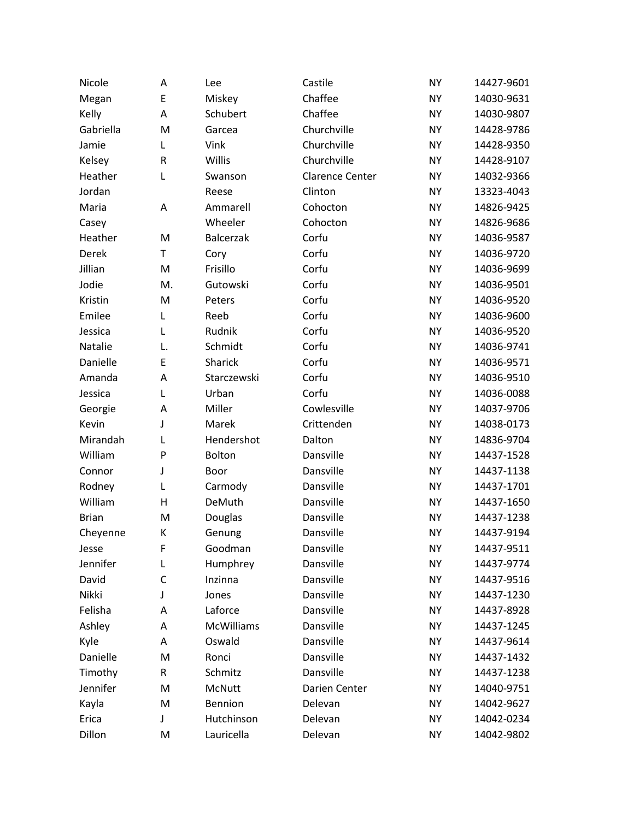| Nicole       | Α           | Lee               | Castile                | <b>NY</b> | 14427-9601 |
|--------------|-------------|-------------------|------------------------|-----------|------------|
| Megan        | E           | Miskey            | Chaffee                | <b>NY</b> | 14030-9631 |
| Kelly        | A           | Schubert          | Chaffee                | <b>NY</b> | 14030-9807 |
| Gabriella    | M           | Garcea            | Churchville            | <b>NY</b> | 14428-9786 |
| Jamie        | L           | Vink              | Churchville            | <b>NY</b> | 14428-9350 |
| Kelsey       | ${\sf R}$   | Willis            | Churchville            | <b>NY</b> | 14428-9107 |
| Heather      | L           | Swanson           | <b>Clarence Center</b> | <b>NY</b> | 14032-9366 |
| Jordan       |             | Reese             | Clinton                | <b>NY</b> | 13323-4043 |
| Maria        | A           | Ammarell          | Cohocton               | <b>NY</b> | 14826-9425 |
| Casey        |             | Wheeler           | Cohocton               | <b>NY</b> | 14826-9686 |
| Heather      | M           | Balcerzak         | Corfu                  | <b>NY</b> | 14036-9587 |
| Derek        | T           | Cory              | Corfu                  | <b>NY</b> | 14036-9720 |
| Jillian      | M           | Frisillo          | Corfu                  | <b>NY</b> | 14036-9699 |
| Jodie        | M.          | Gutowski          | Corfu                  | <b>NY</b> | 14036-9501 |
| Kristin      | M           | Peters            | Corfu                  | <b>NY</b> | 14036-9520 |
| Emilee       | L           | Reeb              | Corfu                  | <b>NY</b> | 14036-9600 |
| Jessica      | L           | Rudnik            | Corfu                  | <b>NY</b> | 14036-9520 |
| Natalie      | L.          | Schmidt           | Corfu                  | <b>NY</b> | 14036-9741 |
| Danielle     | E           | Sharick           | Corfu                  | <b>NY</b> | 14036-9571 |
| Amanda       | A           | Starczewski       | Corfu                  | <b>NY</b> | 14036-9510 |
| Jessica      | Г           | Urban             | Corfu                  | <b>NY</b> | 14036-0088 |
| Georgie      | Α           | Miller            | Cowlesville            | <b>NY</b> | 14037-9706 |
| Kevin        | J           | Marek             | Crittenden             | <b>NY</b> | 14038-0173 |
| Mirandah     | L           | Hendershot        | Dalton                 | <b>NY</b> | 14836-9704 |
| William      | P           | Bolton            | Dansville              | <b>NY</b> | 14437-1528 |
| Connor       | J           | Boor              | Dansville              | <b>NY</b> | 14437-1138 |
| Rodney       | L           | Carmody           | Dansville              | <b>NY</b> | 14437-1701 |
| William      | Н           | DeMuth            | Dansville              | <b>NY</b> | 14437-1650 |
| <b>Brian</b> | M           | Douglas           | Dansville              | <b>NY</b> | 14437-1238 |
| Cheyenne     | К           | Genung            | Dansville              | <b>NY</b> | 14437-9194 |
| Jesse        | F           | Goodman           | Dansville              | <b>NY</b> | 14437-9511 |
| Jennifer     | L           | Humphrey          | Dansville              | <b>NY</b> | 14437-9774 |
| David        | $\mathsf C$ | Inzinna           | Dansville              | <b>NY</b> | 14437-9516 |
| Nikki        | J           | Jones             | Dansville              | <b>NY</b> | 14437-1230 |
| Felisha      | Α           | Laforce           | Dansville              | NΥ        | 14437-8928 |
| Ashley       | Α           | <b>McWilliams</b> | Dansville              | <b>NY</b> | 14437-1245 |
| Kyle         | Α           | Oswald            | Dansville              | <b>NY</b> | 14437-9614 |
| Danielle     | M           | Ronci             | Dansville              | <b>NY</b> | 14437-1432 |
| Timothy      | R           | Schmitz           | Dansville              | NY        | 14437-1238 |
| Jennifer     | M           | McNutt            | Darien Center          | <b>NY</b> | 14040-9751 |
| Kayla        | M           | Bennion           | Delevan                | <b>NY</b> | 14042-9627 |
| Erica        | J           | Hutchinson        | Delevan                | <b>NY</b> | 14042-0234 |
| Dillon       | M           | Lauricella        | Delevan                | <b>NY</b> | 14042-9802 |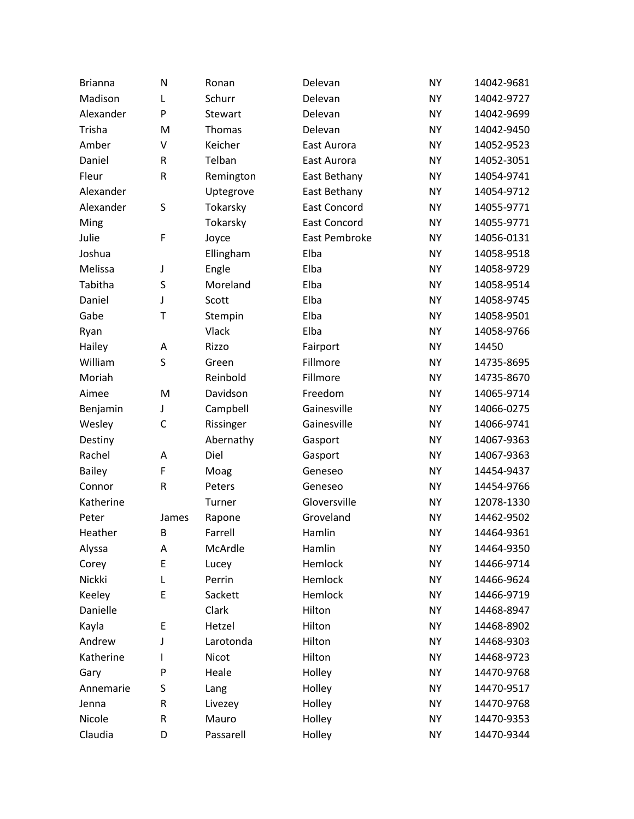| <b>Brianna</b> | N           | Ronan     | Delevan             | <b>NY</b> | 14042-9681 |
|----------------|-------------|-----------|---------------------|-----------|------------|
| Madison        | Г           | Schurr    | Delevan             | <b>NY</b> | 14042-9727 |
| Alexander      | P           | Stewart   | Delevan             | <b>NY</b> | 14042-9699 |
| Trisha         | M           | Thomas    | Delevan             | <b>NY</b> | 14042-9450 |
| Amber          | V           | Keicher   | East Aurora         | <b>NY</b> | 14052-9523 |
| Daniel         | ${\sf R}$   | Telban    | East Aurora         | <b>NY</b> | 14052-3051 |
| Fleur          | ${\sf R}$   | Remington | East Bethany        | <b>NY</b> | 14054-9741 |
| Alexander      |             | Uptegrove | East Bethany        | <b>NY</b> | 14054-9712 |
| Alexander      | S           | Tokarsky  | <b>East Concord</b> | <b>NY</b> | 14055-9771 |
| Ming           |             | Tokarsky  | <b>East Concord</b> | <b>NY</b> | 14055-9771 |
| Julie          | $\mathsf F$ | Joyce     | East Pembroke       | <b>NY</b> | 14056-0131 |
| Joshua         |             | Ellingham | Elba                | <b>NY</b> | 14058-9518 |
| Melissa        | J           | Engle     | Elba                | <b>NY</b> | 14058-9729 |
| Tabitha        | S           | Moreland  | Elba                | <b>NY</b> | 14058-9514 |
| Daniel         | J           | Scott     | Elba                | <b>NY</b> | 14058-9745 |
| Gabe           | T           | Stempin   | Elba                | <b>NY</b> | 14058-9501 |
| Ryan           |             | Vlack     | Elba                | <b>NY</b> | 14058-9766 |
| Hailey         | A           | Rizzo     | Fairport            | <b>NY</b> | 14450      |
| William        | S           | Green     | Fillmore            | <b>NY</b> | 14735-8695 |
| Moriah         |             | Reinbold  | Fillmore            | <b>NY</b> | 14735-8670 |
| Aimee          | M           | Davidson  | Freedom             | <b>NY</b> | 14065-9714 |
| Benjamin       | J           | Campbell  | Gainesville         | <b>NY</b> | 14066-0275 |
| Wesley         | $\mathsf C$ | Rissinger | Gainesville         | <b>NY</b> | 14066-9741 |
| Destiny        |             | Abernathy | Gasport             | <b>NY</b> | 14067-9363 |
| Rachel         | A           | Diel      | Gasport             | <b>NY</b> | 14067-9363 |
| <b>Bailey</b>  | F           | Moag      | Geneseo             | <b>NY</b> | 14454-9437 |
| Connor         | ${\sf R}$   | Peters    | Geneseo             | <b>NY</b> | 14454-9766 |
| Katherine      |             | Turner    | Gloversville        | <b>NY</b> | 12078-1330 |
| Peter          | James       | Rapone    | Groveland           | <b>NY</b> | 14462-9502 |
| Heather        | B           | Farrell   | Hamlin              | <b>NY</b> | 14464-9361 |
| Alyssa         | Α           | McArdle   | Hamlin              | <b>NY</b> | 14464-9350 |
| Corey          | E           | Lucey     | Hemlock             | <b>NY</b> | 14466-9714 |
| Nickki         | L           | Perrin    | Hemlock             | <b>NY</b> | 14466-9624 |
| Keeley         | E           | Sackett   | Hemlock             | <b>NY</b> | 14466-9719 |
| Danielle       |             | Clark     | Hilton              | <b>NY</b> | 14468-8947 |
| Kayla          | E           | Hetzel    | Hilton              | <b>NY</b> | 14468-8902 |
| Andrew         | J           | Larotonda | Hilton              | <b>NY</b> | 14468-9303 |
| Katherine      | L           | Nicot     | Hilton              | <b>NY</b> | 14468-9723 |
| Gary           | P           | Heale     | Holley              | <b>NY</b> | 14470-9768 |
| Annemarie      | S           | Lang      | Holley              | <b>NY</b> | 14470-9517 |
| Jenna          | R           | Livezey   | Holley              | <b>NY</b> | 14470-9768 |
| Nicole         | R           | Mauro     | Holley              | <b>NY</b> | 14470-9353 |
| Claudia        | D           | Passarell | Holley              | NY        | 14470-9344 |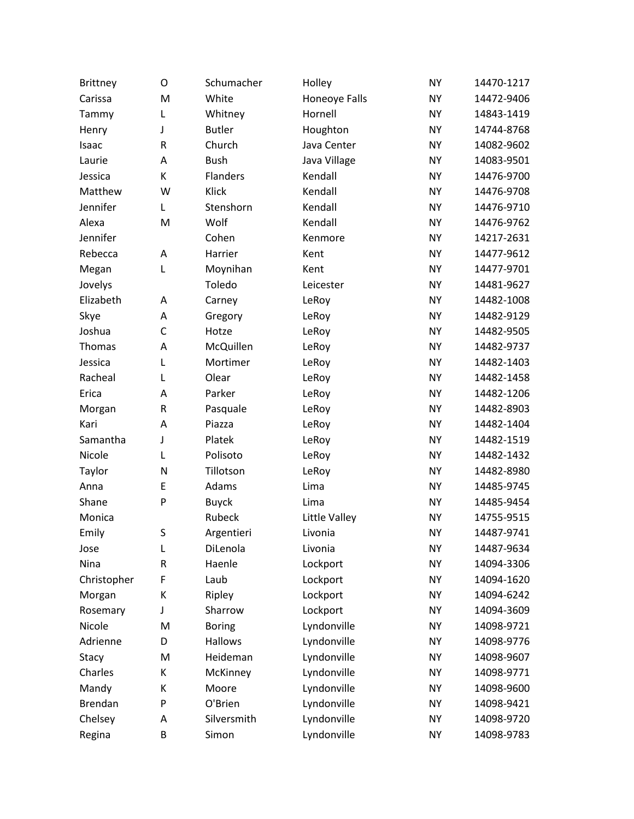| <b>Brittney</b> | O            | Schumacher      | Holley        | <b>NY</b> | 14470-1217 |
|-----------------|--------------|-----------------|---------------|-----------|------------|
| Carissa         | M            | White           | Honeoye Falls | <b>NY</b> | 14472-9406 |
| Tammy           | L            | Whitney         | Hornell       | <b>NY</b> | 14843-1419 |
| Henry           | J            | <b>Butler</b>   | Houghton      | <b>NY</b> | 14744-8768 |
| Isaac           | $\sf R$      | Church          | Java Center   | <b>NY</b> | 14082-9602 |
| Laurie          | A            | <b>Bush</b>     | Java Village  | <b>NY</b> | 14083-9501 |
| Jessica         | К            | <b>Flanders</b> | Kendall       | <b>NY</b> | 14476-9700 |
| Matthew         | W            | Klick           | Kendall       | <b>NY</b> | 14476-9708 |
| Jennifer        | L            | Stenshorn       | Kendall       | <b>NY</b> | 14476-9710 |
| Alexa           | M            | Wolf            | Kendall       | <b>NY</b> | 14476-9762 |
| Jennifer        |              | Cohen           | Kenmore       | <b>NY</b> | 14217-2631 |
| Rebecca         | Α            | Harrier         | Kent          | <b>NY</b> | 14477-9612 |
| Megan           | L            | Moynihan        | Kent          | <b>NY</b> | 14477-9701 |
| Jovelys         |              | Toledo          | Leicester     | <b>NY</b> | 14481-9627 |
| Elizabeth       | Α            | Carney          | LeRoy         | <b>NY</b> | 14482-1008 |
| Skye            | A            | Gregory         | LeRoy         | <b>NY</b> | 14482-9129 |
| Joshua          | $\mathsf{C}$ | Hotze           | LeRoy         | <b>NY</b> | 14482-9505 |
| Thomas          | Α            | McQuillen       | LeRoy         | <b>NY</b> | 14482-9737 |
| Jessica         | L            | Mortimer        | LeRoy         | <b>NY</b> | 14482-1403 |
| Racheal         | L            | Olear           | LeRoy         | <b>NY</b> | 14482-1458 |
| Erica           | Α            | Parker          | LeRoy         | <b>NY</b> | 14482-1206 |
| Morgan          | R            | Pasquale        | LeRoy         | <b>NY</b> | 14482-8903 |
| Kari            | A            | Piazza          | LeRoy         | <b>NY</b> | 14482-1404 |
| Samantha        | J            | Platek          | LeRoy         | <b>NY</b> | 14482-1519 |
| Nicole          | L            | Polisoto        | LeRoy         | <b>NY</b> | 14482-1432 |
| Taylor          | N            | Tillotson       | LeRoy         | <b>NY</b> | 14482-8980 |
| Anna            | E            | Adams           | Lima          | <b>NY</b> | 14485-9745 |
| Shane           | P            | <b>Buyck</b>    | Lima          | <b>NY</b> | 14485-9454 |
| Monica          |              | Rubeck          | Little Valley | <b>NY</b> | 14755-9515 |
| Emily           | S            | Argentieri      | Livonia       | <b>NY</b> | 14487-9741 |
| Jose            | L            | DiLenola        | Livonia       | <b>NY</b> | 14487-9634 |
| Nina            | R            | Haenle          | Lockport      | <b>NY</b> | 14094-3306 |
| Christopher     | F            | Laub            | Lockport      | <b>NY</b> | 14094-1620 |
| Morgan          | К            | Ripley          | Lockport      | <b>NY</b> | 14094-6242 |
| Rosemary        | J            | Sharrow         | Lockport      | <b>NY</b> | 14094-3609 |
| Nicole          | M            | <b>Boring</b>   | Lyndonville   | <b>NY</b> | 14098-9721 |
| Adrienne        | D            | <b>Hallows</b>  | Lyndonville   | <b>NY</b> | 14098-9776 |
| Stacy           | M            | Heideman        | Lyndonville   | <b>NY</b> | 14098-9607 |
| Charles         | К            | McKinney        | Lyndonville   | <b>NY</b> | 14098-9771 |
| Mandy           | К            | Moore           | Lyndonville   | <b>NY</b> | 14098-9600 |
| <b>Brendan</b>  | P            | O'Brien         | Lyndonville   | NY        | 14098-9421 |
| Chelsey         | Α            | Silversmith     | Lyndonville   | <b>NY</b> | 14098-9720 |
| Regina          | B            | Simon           | Lyndonville   | NY        | 14098-9783 |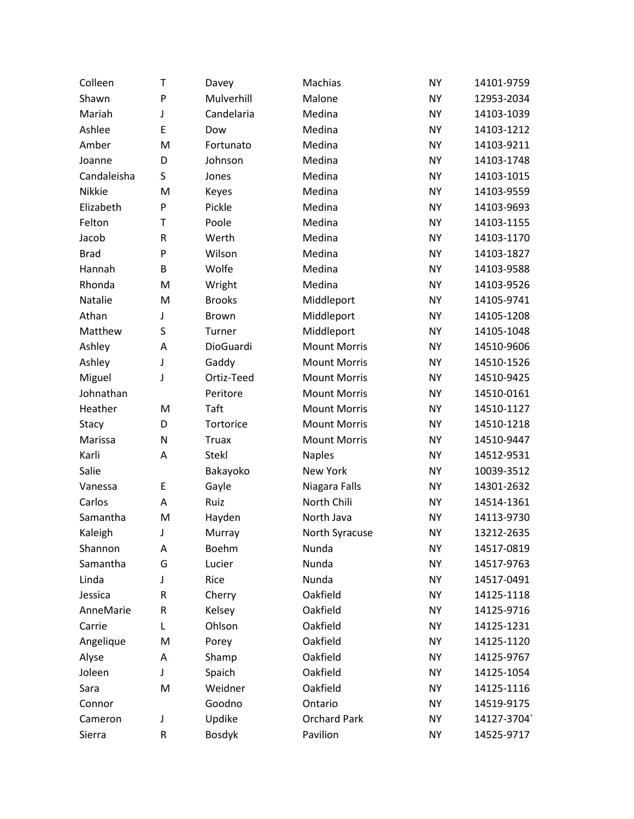| Colleen     | T         | Davey         | Machias             | <b>NY</b> | 14101-9759 |
|-------------|-----------|---------------|---------------------|-----------|------------|
| Shawn       | P         | Mulverhill    | Malone              | <b>NY</b> | 12953-2034 |
| Mariah      | J         | Candelaria    | Medina              | <b>NY</b> | 14103-1039 |
| Ashlee      | E         | Dow           | Medina              | <b>NY</b> | 14103-1212 |
| Amber       | M         | Fortunato     | Medina              | <b>NY</b> | 14103-9211 |
| Joanne      | D         | Johnson       | Medina              | <b>NY</b> | 14103-1748 |
| Candaleisha | S         | Jones         | Medina              | <b>NY</b> | 14103-1015 |
| Nikkie      | M         | Keyes         | Medina              | <b>NY</b> | 14103-9559 |
| Elizabeth   | P         | Pickle        | Medina              | <b>NY</b> | 14103-9693 |
| Felton      | T         | Poole         | Medina              | <b>NY</b> | 14103-1155 |
| Jacob       | ${\sf R}$ | Werth         | Medina              | <b>NY</b> | 14103-1170 |
| <b>Brad</b> | P         | Wilson        | Medina              | <b>NY</b> | 14103-1827 |
| Hannah      | B         | Wolfe         | Medina              | <b>NY</b> | 14103-9588 |
| Rhonda      | M         | Wright        | Medina              | <b>NY</b> | 14103-9526 |
| Natalie     | M         | <b>Brooks</b> | Middleport          | <b>NY</b> | 14105-9741 |
| Athan       | J         | <b>Brown</b>  | Middleport          | <b>NY</b> | 14105-1208 |
| Matthew     | S         | Turner        | Middleport          | <b>NY</b> | 14105-1048 |
| Ashley      | Α         | DioGuardi     | <b>Mount Morris</b> | <b>NY</b> | 14510-9606 |
| Ashley      | J         | Gaddy         | <b>Mount Morris</b> | <b>NY</b> | 14510-1526 |
| Miguel      | J         | Ortiz-Teed    | <b>Mount Morris</b> | <b>NY</b> | 14510-9425 |
| Johnathan   |           | Peritore      | <b>Mount Morris</b> | <b>NY</b> | 14510-0161 |
| Heather     | M         | Taft          | <b>Mount Morris</b> | <b>NY</b> | 14510-1127 |
| Stacy       | D         | Tortorice     | <b>Mount Morris</b> | <b>NY</b> | 14510-1218 |
| Marissa     | N         | <b>Truax</b>  | <b>Mount Morris</b> | <b>NY</b> | 14510-9447 |
| Karli       | Α         | <b>Stekl</b>  | <b>Naples</b>       | <b>NY</b> | 14512-9531 |
| Salie       |           | Bakayoko      | New York            | <b>NY</b> | 10039-3512 |
| Vanessa     | E         | Gayle         | Niagara Falls       | <b>NY</b> | 14301-2632 |
| Carlos      | A         | Ruiz          | North Chili         | <b>NY</b> | 14514-1361 |
| Samantha    | M         | Hayden        | North Java          | <b>NY</b> | 14113-9730 |
| Kaleigh     | J         | Murray        | North Syracuse      | <b>NY</b> | 13212-2635 |
| Shannon     | Α         | <b>Boehm</b>  | Nunda               | <b>NY</b> | 14517-0819 |
| Samantha    | G         | Lucier        | Nunda               | <b>NY</b> | 14517-9763 |
| Linda       | J         | Rice          | Nunda               | ΝY        | 14517-0491 |
| Jessica     | ${\sf R}$ | Cherry        | Oakfield            | <b>NY</b> | 14125-1118 |
| AnneMarie   | R         | Kelsey        | Oakfield            | NY        | 14125-9716 |
| Carrie      | L         | Ohlson        | Oakfield            | <b>NY</b> | 14125-1231 |
| Angelique   | M         | Porey         | Oakfield            | <b>NY</b> | 14125-1120 |
| Alyse       | Α         | Shamp         | Oakfield            | <b>NY</b> | 14125-9767 |
| Joleen      | J         | Spaich        | Oakfield            | NY        | 14125-1054 |
| Sara        | M         | Weidner       | Oakfield            | <b>NY</b> | 14125-1116 |
| Connor      |           | Goodno        | Ontario             | <b>NY</b> | 14519-9175 |
| Cameron     | J         | Updike        | <b>Orchard Park</b> | NY        | 14127-3704 |
| Sierra      | R         | <b>Bosdyk</b> | Pavilion            | NY        | 14525-9717 |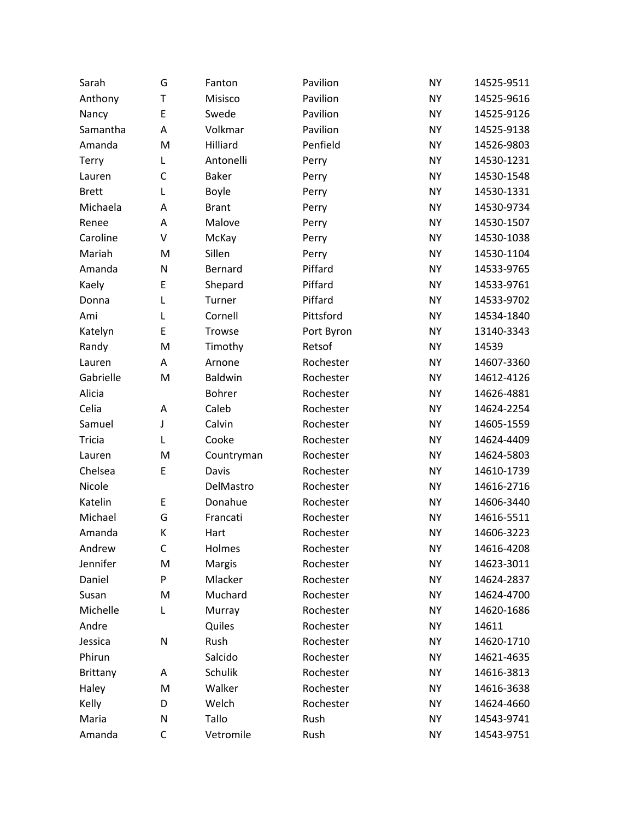| Sarah         | G            | Fanton         | Pavilion   | <b>NY</b> | 14525-9511 |
|---------------|--------------|----------------|------------|-----------|------------|
| Anthony       | T            | Misisco        | Pavilion   | <b>NY</b> | 14525-9616 |
| Nancy         | E            | Swede          | Pavilion   | <b>NY</b> | 14525-9126 |
| Samantha      | A            | Volkmar        | Pavilion   | <b>NY</b> | 14525-9138 |
| Amanda        | M            | Hilliard       | Penfield   | <b>NY</b> | 14526-9803 |
| <b>Terry</b>  | L            | Antonelli      | Perry      | <b>NY</b> | 14530-1231 |
| Lauren        | $\mathsf C$  | <b>Baker</b>   | Perry      | <b>NY</b> | 14530-1548 |
| <b>Brett</b>  | L            | <b>Boyle</b>   | Perry      | <b>NY</b> | 14530-1331 |
| Michaela      | Α            | <b>Brant</b>   | Perry      | <b>NY</b> | 14530-9734 |
| Renee         | Α            | Malove         | Perry      | <b>NY</b> | 14530-1507 |
| Caroline      | V            | McKay          | Perry      | <b>NY</b> | 14530-1038 |
| Mariah        | M            | Sillen         | Perry      | <b>NY</b> | 14530-1104 |
| Amanda        | N            | Bernard        | Piffard    | <b>NY</b> | 14533-9765 |
| Kaely         | E            | Shepard        | Piffard    | <b>NY</b> | 14533-9761 |
| Donna         | L            | Turner         | Piffard    | <b>NY</b> | 14533-9702 |
| Ami           | L            | Cornell        | Pittsford  | <b>NY</b> | 14534-1840 |
| Katelyn       | E            | Trowse         | Port Byron | <b>NY</b> | 13140-3343 |
| Randy         | M            | Timothy        | Retsof     | <b>NY</b> | 14539      |
| Lauren        | Α            | Arnone         | Rochester  | <b>NY</b> | 14607-3360 |
| Gabrielle     | M            | <b>Baldwin</b> | Rochester  | <b>NY</b> | 14612-4126 |
| Alicia        |              | <b>Bohrer</b>  | Rochester  | <b>NY</b> | 14626-4881 |
| Celia         | Α            | Caleb          | Rochester  | <b>NY</b> | 14624-2254 |
| Samuel        | J            | Calvin         | Rochester  | <b>NY</b> | 14605-1559 |
| <b>Tricia</b> | Г            | Cooke          | Rochester  | <b>NY</b> | 14624-4409 |
| Lauren        | M            | Countryman     | Rochester  | <b>NY</b> | 14624-5803 |
| Chelsea       | Е            | Davis          | Rochester  | <b>NY</b> | 14610-1739 |
| Nicole        |              | DelMastro      | Rochester  | <b>NY</b> | 14616-2716 |
| Katelin       | E            | Donahue        | Rochester  | <b>NY</b> | 14606-3440 |
| Michael       | G            | Francati       | Rochester  | <b>NY</b> | 14616-5511 |
| Amanda        | К            | Hart           | Rochester  | <b>NY</b> | 14606-3223 |
| Andrew        | C            | Holmes         | Rochester  | NY        | 14616-4208 |
| Jennifer      | M            | Margis         | Rochester  | <b>NY</b> | 14623-3011 |
| Daniel        | P            | Mlacker        | Rochester  | <b>NY</b> | 14624-2837 |
| Susan         | M            | Muchard        | Rochester  | <b>NY</b> | 14624-4700 |
| Michelle      | L            | Murray         | Rochester  | ΝY        | 14620-1686 |
| Andre         |              | Quiles         | Rochester  | <b>NY</b> | 14611      |
| Jessica       | $\mathsf{N}$ | Rush           | Rochester  | ΝY        | 14620-1710 |
| Phirun        |              | Salcido        | Rochester  | <b>NY</b> | 14621-4635 |
| Brittany      | Α            | <b>Schulik</b> | Rochester  | ΝY        | 14616-3813 |
| Haley         | M            | Walker         | Rochester  | <b>NY</b> | 14616-3638 |
| Kelly         | D            | Welch          | Rochester  | ΝY        | 14624-4660 |
| Maria         | ${\sf N}$    | Tallo          | Rush       | NY        | 14543-9741 |
| Amanda        | C            | Vetromile      | Rush       | NY        | 14543-9751 |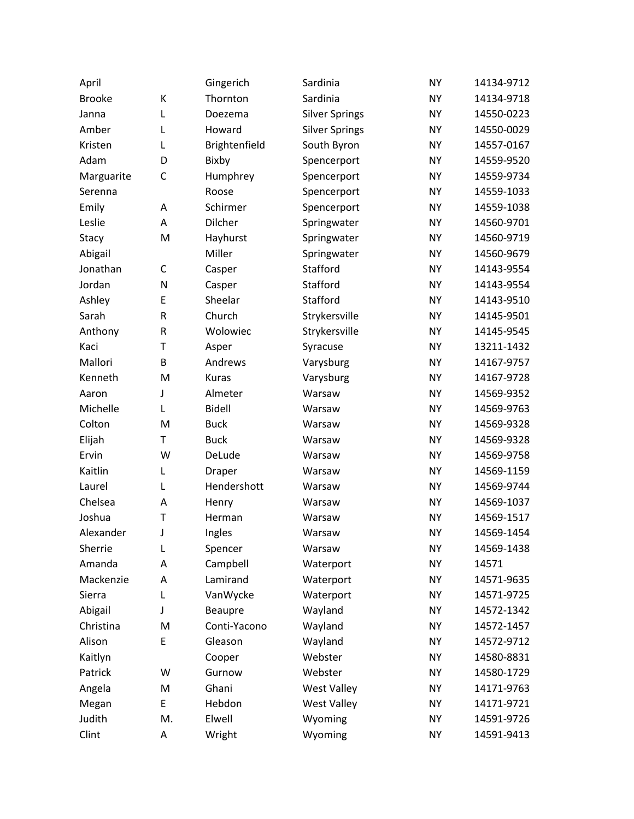| April         |    | Gingerich     | Sardinia              | <b>NY</b> | 14134-9712 |
|---------------|----|---------------|-----------------------|-----------|------------|
| <b>Brooke</b> | К  | Thornton      | Sardinia              | <b>NY</b> | 14134-9718 |
| Janna         | L  | Doezema       | <b>Silver Springs</b> | <b>NY</b> | 14550-0223 |
| Amber         | L  | Howard        | <b>Silver Springs</b> | <b>NY</b> | 14550-0029 |
| Kristen       | L  | Brightenfield | South Byron           | <b>NY</b> | 14557-0167 |
| Adam          | D  | Bixby         | Spencerport           | <b>NY</b> | 14559-9520 |
| Marguarite    | C  | Humphrey      | Spencerport           | <b>NY</b> | 14559-9734 |
| Serenna       |    | Roose         | Spencerport           | <b>NY</b> | 14559-1033 |
| Emily         | Α  | Schirmer      | Spencerport           | <b>NY</b> | 14559-1038 |
| Leslie        | Α  | Dilcher       | Springwater           | <b>NY</b> | 14560-9701 |
| Stacy         | M  | Hayhurst      | Springwater           | <b>NY</b> | 14560-9719 |
| Abigail       |    | Miller        | Springwater           | <b>NY</b> | 14560-9679 |
| Jonathan      | C  | Casper        | Stafford              | <b>NY</b> | 14143-9554 |
| Jordan        | N  | Casper        | Stafford              | <b>NY</b> | 14143-9554 |
| Ashley        | E  | Sheelar       | Stafford              | <b>NY</b> | 14143-9510 |
| Sarah         | R  | Church        | Strykersville         | <b>NY</b> | 14145-9501 |
| Anthony       | R  | Wolowiec      | Strykersville         | <b>NY</b> | 14145-9545 |
| Kaci          | T  | Asper         | Syracuse              | <b>NY</b> | 13211-1432 |
| Mallori       | B  | Andrews       | Varysburg             | <b>NY</b> | 14167-9757 |
| Kenneth       | M  | <b>Kuras</b>  | Varysburg             | <b>NY</b> | 14167-9728 |
| Aaron         | J  | Almeter       | Warsaw                | <b>NY</b> | 14569-9352 |
| Michelle      | L  | <b>Bidell</b> | Warsaw                | <b>NY</b> | 14569-9763 |
| Colton        | M  | <b>Buck</b>   | Warsaw                | <b>NY</b> | 14569-9328 |
| Elijah        | T  | <b>Buck</b>   | Warsaw                | <b>NY</b> | 14569-9328 |
| Ervin         | W  | DeLude        | Warsaw                | <b>NY</b> | 14569-9758 |
| Kaitlin       | L  | Draper        | Warsaw                | <b>NY</b> | 14569-1159 |
| Laurel        | L  | Hendershott   | Warsaw                | <b>NY</b> | 14569-9744 |
| Chelsea       | A  | Henry         | Warsaw                | <b>NY</b> | 14569-1037 |
| Joshua        | T  | Herman        | Warsaw                | <b>NY</b> | 14569-1517 |
| Alexander     | J  | Ingles        | Warsaw                | <b>NY</b> | 14569-1454 |
| Sherrie       | L  | Spencer       | Warsaw                | <b>NY</b> | 14569-1438 |
| Amanda        | Α  | Campbell      | Waterport             | <b>NY</b> | 14571      |
| Mackenzie     | А  | Lamirand      | Waterport             | <b>NY</b> | 14571-9635 |
| Sierra        | L  | VanWycke      | Waterport             | <b>NY</b> | 14571-9725 |
| Abigail       | J  | Beaupre       | Wayland               | <b>NY</b> | 14572-1342 |
| Christina     | M  | Conti-Yacono  | Wayland               | <b>NY</b> | 14572-1457 |
| Alison        | E  | Gleason       | Wayland               | <b>NY</b> | 14572-9712 |
| Kaitlyn       |    | Cooper        | Webster               | <b>NY</b> | 14580-8831 |
| Patrick       | W  | Gurnow        | Webster               | <b>NY</b> | 14580-1729 |
| Angela        | M  | Ghani         | <b>West Valley</b>    | <b>NY</b> | 14171-9763 |
| Megan         | E  | Hebdon        | <b>West Valley</b>    | <b>NY</b> | 14171-9721 |
| Judith        | M. | Elwell        | Wyoming               | <b>NY</b> | 14591-9726 |
| Clint         | Α  | Wright        | Wyoming               | NY        | 14591-9413 |